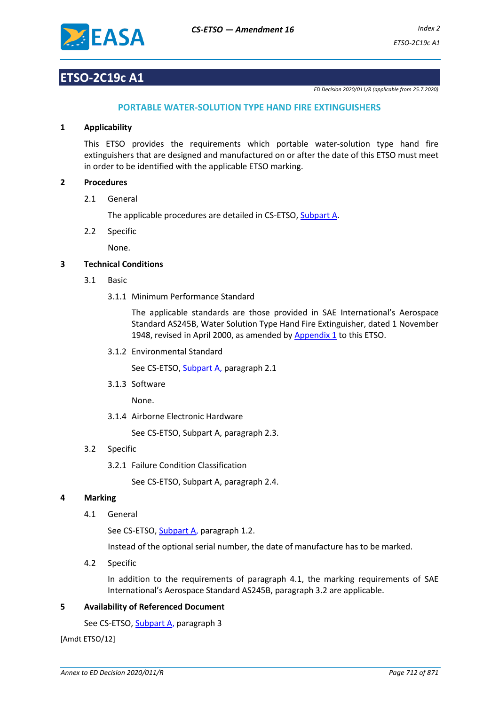

# **ETSO-2C19c A1**

*ED Decision 2020/011/R (applicable from 25.7.2020)*

# **PORTABLE WATER-SOLUTION TYPE HAND FIRE EXTINGUISHERS**

#### **1 Applicability**

This ETSO provides the requirements which portable water-solution type hand fire extinguishers that are designed and manufactured on or after the date of this ETSO must meet in order to be identified with the applicable ETSO marking.

### **2 Procedures**

2.1 General

The applicable procedures are detailed in CS-ETSO, Subpart A.

2.2 Specific

None.

## **3 Technical Conditions**

- 3.1 Basic
	- 3.1.1 Minimum Performance Standard

The applicable standards are those provided in SAE International's Aerospace Standard AS245B, Water Solution Type Hand Fire Extinguisher, dated 1 November 1948, revised in April 2000, as amended by [Appendix 1](#page-2-0) to this ETSO.

3.1.2 Environmental Standard

See CS-ETSO, Subpart A, paragraph 2.1

3.1.3 Software

None.

3.1.4 Airborne Electronic Hardware

See CS-ETSO, Subpart A, paragraph 2.3.

# 3.2 Specific

3.2.1 Failure Condition Classification

See CS-ETSO, Subpart A, paragraph 2.4.

#### **4 Marking**

4.1 General

See CS-ETSO, Subpart A, paragraph 1.2.

Instead of the optional serial number, the date of manufacture has to be marked.

4.2 Specific

In addition to the requirements of paragraph 4.1, the marking requirements of SAE International's Aerospace Standard AS245B, paragraph 3.2 are applicable.

#### **5 Availability of Referenced Document**

See CS-ETSO, Subpart A, paragraph 3

[Amdt ETSO/12]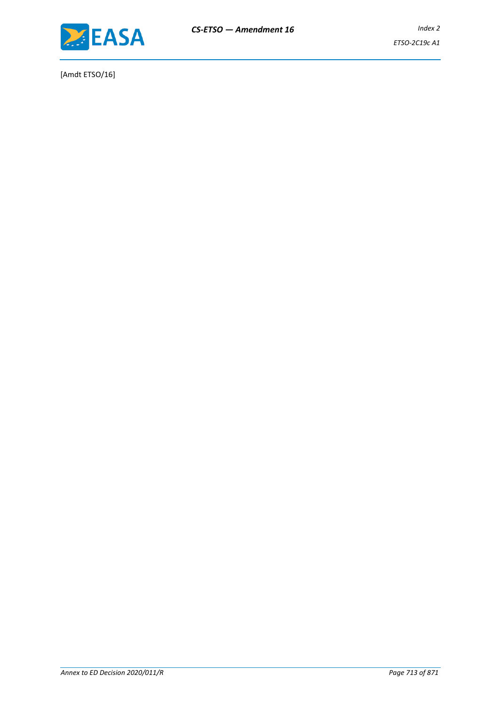

[Amdt ETSO/16]